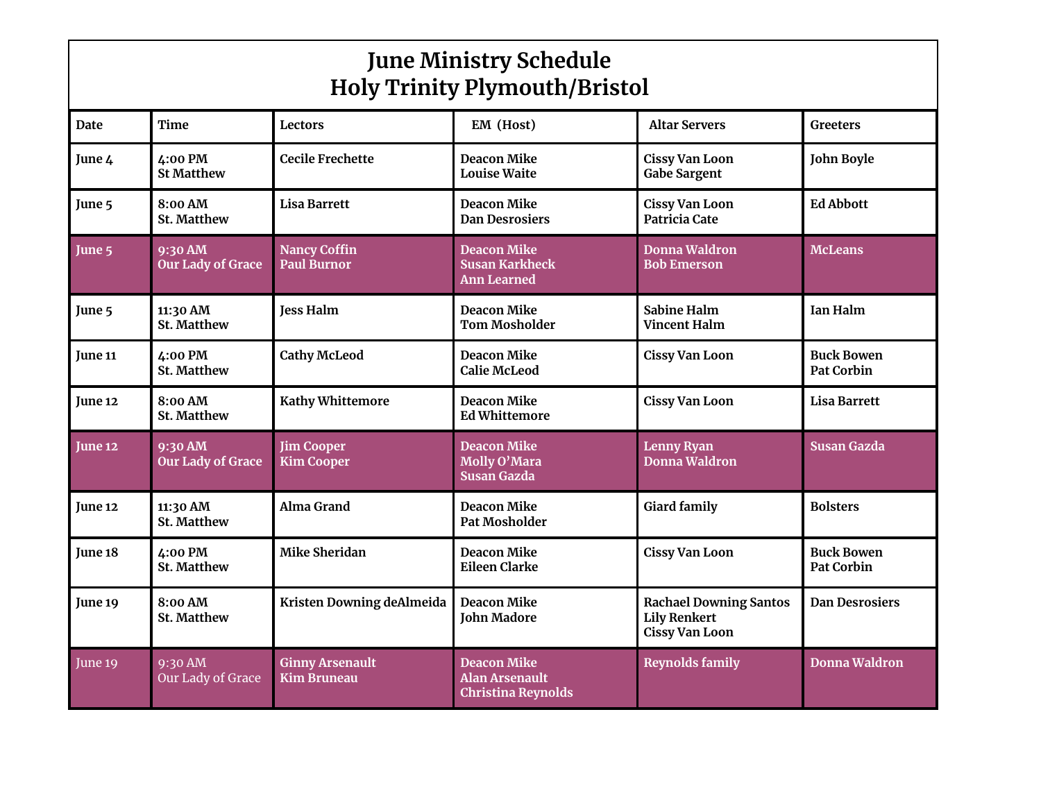| <b>June Ministry Schedule</b><br><b>Holy Trinity Plymouth/Bristol</b> |                                     |                                           |                                                                   |                                                                               |                                        |  |  |  |  |
|-----------------------------------------------------------------------|-------------------------------------|-------------------------------------------|-------------------------------------------------------------------|-------------------------------------------------------------------------------|----------------------------------------|--|--|--|--|
| <b>Date</b>                                                           | Time                                | Lectors                                   | EM (Host)                                                         | <b>Altar Servers</b>                                                          | Greeters                               |  |  |  |  |
| June 4                                                                | 4:00 PM<br><b>St Matthew</b>        | <b>Cecile Frechette</b>                   | <b>Deacon Mike</b><br><b>Louise Waite</b>                         | <b>Cissy Van Loon</b><br><b>Gabe Sargent</b>                                  | <b>John Boyle</b>                      |  |  |  |  |
| June 5                                                                | 8:00 AM<br>St. Matthew              | <b>Lisa Barrett</b>                       | <b>Deacon Mike</b><br><b>Dan Desrosiers</b>                       | <b>Cissy Van Loon</b><br>Patricia Cate                                        | <b>Ed Abbott</b>                       |  |  |  |  |
| June 5                                                                | 9:30 AM<br><b>Our Lady of Grace</b> | <b>Nancy Coffin</b><br><b>Paul Burnor</b> | <b>Deacon Mike</b><br><b>Susan Karkheck</b><br>Ann Learned        | <b>Donna Waldron</b><br><b>Bob Emerson</b>                                    | <b>McLeans</b>                         |  |  |  |  |
| June 5                                                                | 11:30 AM<br><b>St. Matthew</b>      | <b>Jess Halm</b>                          | <b>Deacon Mike</b><br><b>Tom Mosholder</b>                        | <b>Sabine Halm</b><br><b>Vincent Halm</b>                                     | Ian Halm                               |  |  |  |  |
| <b>June 11</b>                                                        | 4:00 PM<br><b>St. Matthew</b>       | <b>Cathy McLeod</b>                       | <b>Deacon Mike</b><br><b>Calie McLeod</b>                         | <b>Cissy Van Loon</b>                                                         | <b>Buck Bowen</b><br><b>Pat Corbin</b> |  |  |  |  |
| June 12                                                               | 8:00 AM<br><b>St. Matthew</b>       | <b>Kathy Whittemore</b>                   | <b>Deacon Mike</b><br><b>Ed Whittemore</b>                        | <b>Cissy Van Loon</b>                                                         | Lisa Barrett                           |  |  |  |  |
| June 12                                                               | 9:30 AM<br><b>Our Lady of Grace</b> | <b>Jim Cooper</b><br><b>Kim Cooper</b>    | Deacon Mike<br>Molly O'Mara<br><b>Susan Gazda</b>                 | <b>Lenny Ryan</b><br>Donna Waldron                                            | <b>Susan Gazda</b>                     |  |  |  |  |
| <b>June 12</b>                                                        | 11:30 AM<br><b>St. Matthew</b>      | Alma Grand                                | <b>Deacon Mike</b><br><b>Pat Mosholder</b>                        | <b>Giard family</b>                                                           | <b>Bolsters</b>                        |  |  |  |  |
| June 18                                                               | 4:00 PM<br><b>St. Matthew</b>       | Mike Sheridan                             | <b>Deacon Mike</b><br><b>Eileen Clarke</b>                        | <b>Cissy Van Loon</b>                                                         | <b>Buck Bowen</b><br><b>Pat Corbin</b> |  |  |  |  |
| June 19                                                               | 8:00 AM<br>St. Matthew              | Kristen Downing deAlmeida                 | <b>Deacon Mike</b><br><b>John Madore</b>                          | <b>Rachael Downing Santos</b><br><b>Lily Renkert</b><br><b>Cissy Van Loon</b> | <b>Dan Desrosiers</b>                  |  |  |  |  |
| June 19                                                               | $9:30$ AM<br>Our Lady of Grace      | <b>Ginny Arsenault</b><br>Kim Bruneau     | <b>Deacon Mike</b><br>Alan Arsenault<br><b>Christina Reynolds</b> | <b>Reynolds family</b>                                                        | Donna Waldron                          |  |  |  |  |